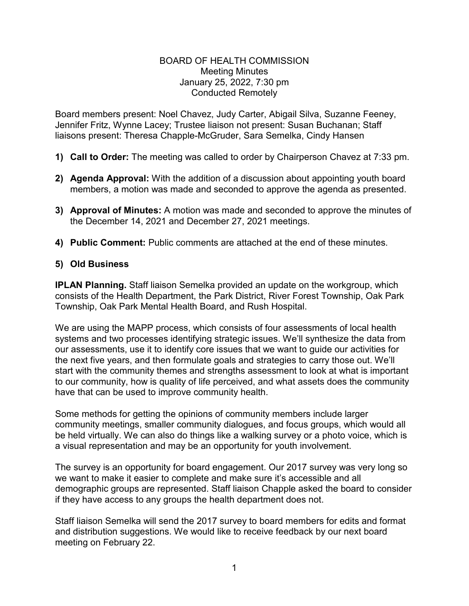## BOARD OF HEALTH COMMISSION Meeting Minutes January 25, 2022, 7:30 pm Conducted Remotely

Board members present: Noel Chavez, Judy Carter, Abigail Silva, Suzanne Feeney, Jennifer Fritz, Wynne Lacey; Trustee liaison not present: Susan Buchanan; Staff liaisons present: Theresa Chapple-McGruder, Sara Semelka, Cindy Hansen

- **1) Call to Order:** The meeting was called to order by Chairperson Chavez at 7:33 pm.
- **2) Agenda Approval:** With the addition of a discussion about appointing youth board members, a motion was made and seconded to approve the agenda as presented.
- **3) Approval of Minutes:** A motion was made and seconded to approve the minutes of the December 14, 2021 and December 27, 2021 meetings.
- **4) Public Comment:** Public comments are attached at the end of these minutes.

## **5) Old Business**

**IPLAN Planning.** Staff liaison Semelka provided an update on the workgroup, which consists of the Health Department, the Park District, River Forest Township, Oak Park Township, Oak Park Mental Health Board, and Rush Hospital.

We are using the MAPP process, which consists of four assessments of local health systems and two processes identifying strategic issues. We'll synthesize the data from our assessments, use it to identify core issues that we want to guide our activities for the next five years, and then formulate goals and strategies to carry those out. We'll start with the community themes and strengths assessment to look at what is important to our community, how is quality of life perceived, and what assets does the community have that can be used to improve community health.

Some methods for getting the opinions of community members include larger community meetings, smaller community dialogues, and focus groups, which would all be held virtually. We can also do things like a walking survey or a photo voice, which is a visual representation and may be an opportunity for youth involvement.

The survey is an opportunity for board engagement. Our 2017 survey was very long so we want to make it easier to complete and make sure it's accessible and all demographic groups are represented. Staff liaison Chapple asked the board to consider if they have access to any groups the health department does not.

Staff liaison Semelka will send the 2017 survey to board members for edits and format and distribution suggestions. We would like to receive feedback by our next board meeting on February 22.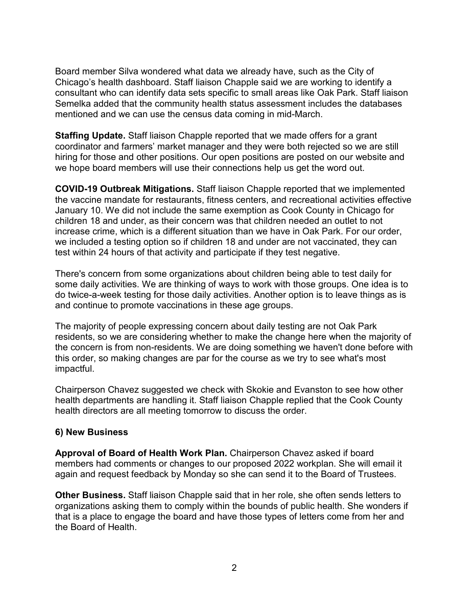Board member Silva wondered what data we already have, such as the City of Chicago's health dashboard. Staff liaison Chapple said we are working to identify a consultant who can identify data sets specific to small areas like Oak Park. Staff liaison Semelka added that the community health status assessment includes the databases mentioned and we can use the census data coming in mid-March.

**Staffing Update.** Staff liaison Chapple reported that we made offers for a grant coordinator and farmers' market manager and they were both rejected so we are still hiring for those and other positions. Our open positions are posted on our website and we hope board members will use their connections help us get the word out.

**COVID-19 Outbreak Mitigations.** Staff liaison Chapple reported that we implemented the vaccine mandate for restaurants, fitness centers, and recreational activities effective January 10. We did not include the same exemption as Cook County in Chicago for children 18 and under, as their concern was that children needed an outlet to not increase crime, which is a different situation than we have in Oak Park. For our order, we included a testing option so if children 18 and under are not vaccinated, they can test within 24 hours of that activity and participate if they test negative.

There's concern from some organizations about children being able to test daily for some daily activities. We are thinking of ways to work with those groups. One idea is to do twice-a-week testing for those daily activities. Another option is to leave things as is and continue to promote vaccinations in these age groups.

The majority of people expressing concern about daily testing are not Oak Park residents, so we are considering whether to make the change here when the majority of the concern is from non-residents. We are doing something we haven't done before with this order, so making changes are par for the course as we try to see what's most impactful.

Chairperson Chavez suggested we check with Skokie and Evanston to see how other health departments are handling it. Staff liaison Chapple replied that the Cook County health directors are all meeting tomorrow to discuss the order.

## **6) New Business**

**Approval of Board of Health Work Plan.** Chairperson Chavez asked if board members had comments or changes to our proposed 2022 workplan. She will email it again and request feedback by Monday so she can send it to the Board of Trustees.

**Other Business.** Staff liaison Chapple said that in her role, she often sends letters to organizations asking them to comply within the bounds of public health. She wonders if that is a place to engage the board and have those types of letters come from her and the Board of Health.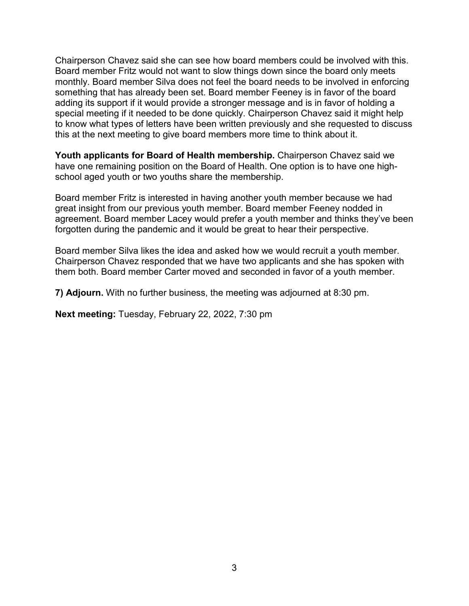Chairperson Chavez said she can see how board members could be involved with this. Board member Fritz would not want to slow things down since the board only meets monthly. Board member Silva does not feel the board needs to be involved in enforcing something that has already been set. Board member Feeney is in favor of the board adding its support if it would provide a stronger message and is in favor of holding a special meeting if it needed to be done quickly. Chairperson Chavez said it might help to know what types of letters have been written previously and she requested to discuss this at the next meeting to give board members more time to think about it.

**Youth applicants for Board of Health membership.** Chairperson Chavez said we have one remaining position on the Board of Health. One option is to have one highschool aged youth or two youths share the membership.

Board member Fritz is interested in having another youth member because we had great insight from our previous youth member. Board member Feeney nodded in agreement. Board member Lacey would prefer a youth member and thinks they've been forgotten during the pandemic and it would be great to hear their perspective.

Board member Silva likes the idea and asked how we would recruit a youth member. Chairperson Chavez responded that we have two applicants and she has spoken with them both. Board member Carter moved and seconded in favor of a youth member.

**7) Adjourn.** With no further business, the meeting was adjourned at 8:30 pm.

**Next meeting:** Tuesday, February 22, 2022, 7:30 pm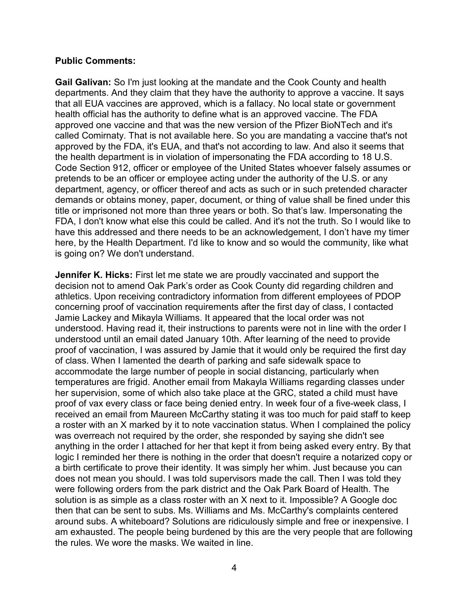## **Public Comments:**

**Gail Galivan:** So I'm just looking at the mandate and the Cook County and health departments. And they claim that they have the authority to approve a vaccine. It says that all EUA vaccines are approved, which is a fallacy. No local state or government health official has the authority to define what is an approved vaccine. The FDA approved one vaccine and that was the new version of the Pfizer BioNTech and it's called Comirnaty. That is not available here. So you are mandating a vaccine that's not approved by the FDA, it's EUA, and that's not according to law. And also it seems that the health department is in violation of impersonating the FDA according to 18 U.S. Code Section 912, officer or employee of the United States whoever falsely assumes or pretends to be an officer or employee acting under the authority of the U.S. or any department, agency, or officer thereof and acts as such or in such pretended character demands or obtains money, paper, document, or thing of value shall be fined under this title or imprisoned not more than three years or both. So that's law. Impersonating the FDA, I don't know what else this could be called. And it's not the truth. So I would like to have this addressed and there needs to be an acknowledgement, I don't have my timer here, by the Health Department. I'd like to know and so would the community, like what is going on? We don't understand.

**Jennifer K. Hicks:** First let me state we are proudly vaccinated and support the decision not to amend Oak Park's order as Cook County did regarding children and athletics. Upon receiving contradictory information from different employees of PDOP concerning proof of vaccination requirements after the first day of class, I contacted Jamie Lackey and Mikayla Williams. It appeared that the local order was not understood. Having read it, their instructions to parents were not in line with the order I understood until an email dated January 10th. After learning of the need to provide proof of vaccination, I was assured by Jamie that it would only be required the first day of class. When I lamented the dearth of parking and safe sidewalk space to accommodate the large number of people in social distancing, particularly when temperatures are frigid. Another email from Makayla Williams regarding classes under her supervision, some of which also take place at the GRC, stated a child must have proof of vax every class or face being denied entry. In week four of a five-week class, I received an email from Maureen McCarthy stating it was too much for paid staff to keep a roster with an X marked by it to note vaccination status. When I complained the policy was overreach not required by the order, she responded by saying she didn't see anything in the order I attached for her that kept it from being asked every entry. By that logic I reminded her there is nothing in the order that doesn't require a notarized copy or a birth certificate to prove their identity. It was simply her whim. Just because you can does not mean you should. I was told supervisors made the call. Then I was told they were following orders from the park district and the Oak Park Board of Health. The solution is as simple as a class roster with an X next to it. Impossible? A Google doc then that can be sent to subs. Ms. Williams and Ms. McCarthy's complaints centered around subs. A whiteboard? Solutions are ridiculously simple and free or inexpensive. I am exhausted. The people being burdened by this are the very people that are following the rules. We wore the masks. We waited in line.